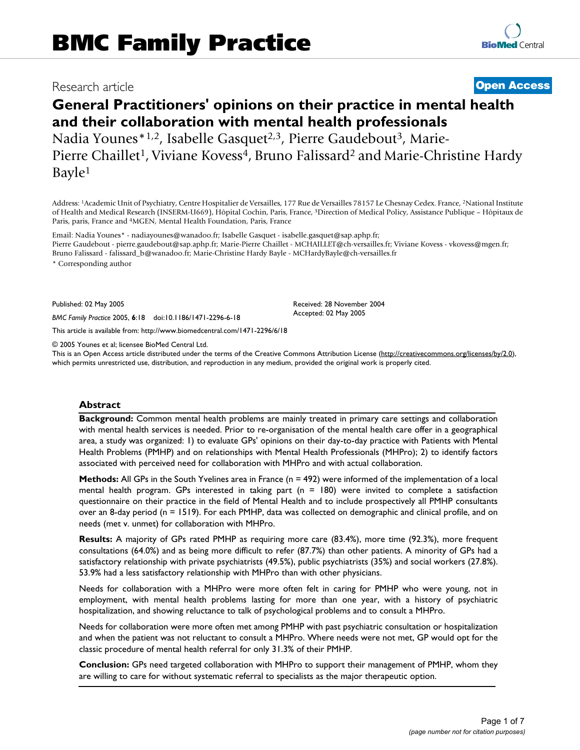### Research article **[Open Access](http://www.biomedcentral.com/info/about/charter/)**

# **General Practitioners' opinions on their practice in mental health and their collaboration with mental health professionals** Nadia Younes\*<sup>1,2</sup>, Isabelle Gasquet<sup>2,3</sup>, Pierre Gaudebout<sup>3</sup>, Marie-

Pierre Chaillet<sup>1</sup>, Viviane Kovess<sup>4</sup>, Bruno Falissard<sup>2</sup> and Marie-Christine Hardy Bayle1

Address: 1Academic Unit of Psychiatry, Centre Hospitalier de Versailles, 177 Rue de Versailles 78157 Le Chesnay Cedex. France, 2National Institute of Health and Medical Research (INSERM-U669), Hôpital Cochin, Paris, France, 3Direction of Medical Policy, Assistance Publique – Hôpitaux de Paris, paris, France and 4MGEN, Mental Health Foundation, Paris, France

Email: Nadia Younes\* - nadiayounes@wanadoo.fr; Isabelle Gasquet - isabelle.gasquet@sap.aphp.fr; Pierre Gaudebout - pierre.gaudebout@sap.aphp.fr; Marie-Pierre Chaillet - MCHAILLET@ch-versailles.fr; Viviane Kovess - vkovess@mgen.fr; Bruno Falissard - falissard\_b@wanadoo.fr; Marie-Christine Hardy Bayle - MCHardyBayle@ch-versailles.fr

\* Corresponding author

Published: 02 May 2005

*BMC Family Practice* 2005, **6**:18 doi:10.1186/1471-2296-6-18

[This article is available from: http://www.biomedcentral.com/1471-2296/6/18](http://www.biomedcentral.com/1471-2296/6/18)

© 2005 Younes et al; licensee BioMed Central Ltd.

This is an Open Access article distributed under the terms of the Creative Commons Attribution License [\(http://creativecommons.org/licenses/by/2.0\)](http://creativecommons.org/licenses/by/2.0), which permits unrestricted use, distribution, and reproduction in any medium, provided the original work is properly cited.

Received: 28 November 2004 Accepted: 02 May 2005

#### **Abstract**

**Background:** Common mental health problems are mainly treated in primary care settings and collaboration with mental health services is needed. Prior to re-organisation of the mental health care offer in a geographical area, a study was organized: 1) to evaluate GPs' opinions on their day-to-day practice with Patients with Mental Health Problems (PMHP) and on relationships with Mental Health Professionals (MHPro); 2) to identify factors associated with perceived need for collaboration with MHPro and with actual collaboration.

**Methods:** All GPs in the South Yvelines area in France (n = 492) were informed of the implementation of a local mental health program. GPs interested in taking part ( $n = 180$ ) were invited to complete a satisfaction questionnaire on their practice in the field of Mental Health and to include prospectively all PMHP consultants over an 8-day period (n = 1519). For each PMHP, data was collected on demographic and clinical profile, and on needs (met v. unmet) for collaboration with MHPro.

**Results:** A majority of GPs rated PMHP as requiring more care (83.4%), more time (92.3%), more frequent consultations (64.0%) and as being more difficult to refer (87.7%) than other patients. A minority of GPs had a satisfactory relationship with private psychiatrists (49.5%), public psychiatrists (35%) and social workers (27.8%). 53.9% had a less satisfactory relationship with MHPro than with other physicians.

Needs for collaboration with a MHPro were more often felt in caring for PMHP who were young, not in employment, with mental health problems lasting for more than one year, with a history of psychiatric hospitalization, and showing reluctance to talk of psychological problems and to consult a MHPro.

Needs for collaboration were more often met among PMHP with past psychiatric consultation or hospitalization and when the patient was not reluctant to consult a MHPro. Where needs were not met, GP would opt for the classic procedure of mental health referral for only 31.3% of their PMHP.

**Conclusion:** GPs need targeted collaboration with MHPro to support their management of PMHP, whom they are willing to care for without systematic referral to specialists as the major therapeutic option.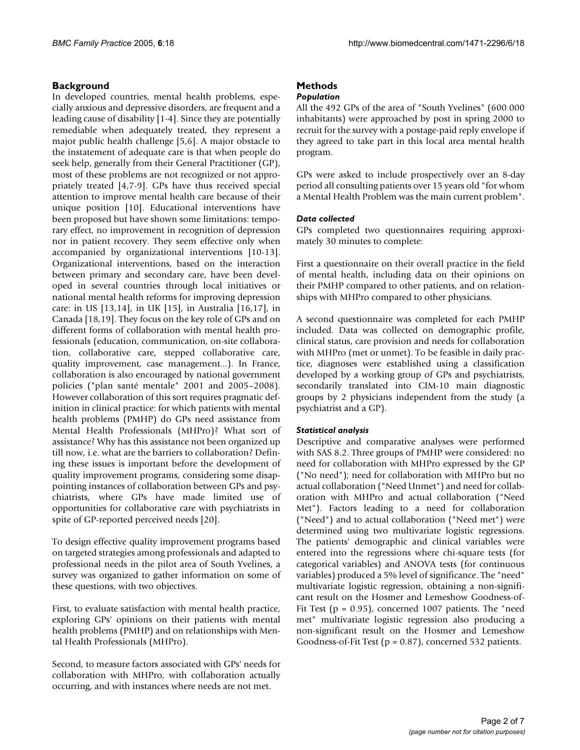#### **Background**

In developed countries, mental health problems, especially anxious and depressive disorders, are frequent and a leading cause of disability [1-4]. Since they are potentially remediable when adequately treated, they represent a major public health challenge [5,6]. A major obstacle to the instatement of adequate care is that when people do seek help, generally from their General Practitioner (GP), most of these problems are not recognized or not appropriately treated [4,7-9]. GPs have thus received special attention to improve mental health care because of their unique position [10]. Educational interventions have been proposed but have shown some limitations: temporary effect, no improvement in recognition of depression nor in patient recovery. They seem effective only when accompanied by organizational interventions [10-13]. Organizational interventions, based on the interaction between primary and secondary care, have been developed in several countries through local initiatives or national mental health reforms for improving depression care: in US [13,14], in UK [15], in Australia [16,17], in Canada [18,19]. They focus on the key role of GPs and on different forms of collaboration with mental health professionals (education, communication, on-site collaboration, collaborative care, stepped collaborative care, quality improvement, case management...). In France, collaboration is also encouraged by national government policies ("plan santé mentale" 2001 and 2005–2008). However collaboration of this sort requires pragmatic definition in clinical practice: for which patients with mental health problems (PMHP) do GPs need assistance from Mental Health Professionals (MHPro)? What sort of assistance? Why has this assistance not been organized up till now, i.e. what are the barriers to collaboration? Defining these issues is important before the development of quality improvement programs, considering some disappointing instances of collaboration between GPs and psychiatrists, where GPs have made limited use of opportunities for collaborative care with psychiatrists in spite of GP-reported perceived needs [20].

To design effective quality improvement programs based on targeted strategies among professionals and adapted to professional needs in the pilot area of South Yvelines, a survey was organized to gather information on some of these questions, with two objectives.

First, to evaluate satisfaction with mental health practice, exploring GPs' opinions on their patients with mental health problems (PMHP) and on relationships with Mental Health Professionals (MHPro).

Second, to measure factors associated with GPs' needs for collaboration with MHPro, with collaboration actually occurring, and with instances where needs are not met.

## **Methods**

#### *Population*

All the 492 GPs of the area of "South Yvelines" (600 000 inhabitants) were approached by post in spring 2000 to recruit for the survey with a postage-paid reply envelope if they agreed to take part in this local area mental health program.

GPs were asked to include prospectively over an 8-day period all consulting patients over 15 years old "for whom a Mental Health Problem was the main current problem".

#### *Data collected*

GPs completed two questionnaires requiring approximately 30 minutes to complete:

First a questionnaire on their overall practice in the field of mental health, including data on their opinions on their PMHP compared to other patients, and on relationships with MHPro compared to other physicians.

A second questionnaire was completed for each PMHP included. Data was collected on demographic profile, clinical status, care provision and needs for collaboration with MHPro (met or unmet). To be feasible in daily practice, diagnoses were established using a classification developed by a working group of GPs and psychiatrists, secondarily translated into CIM-10 main diagnostic groups by 2 physicians independent from the study (a psychiatrist and a GP).

#### *Statistical analysis*

Descriptive and comparative analyses were performed with SAS 8.2. Three groups of PMHP were considered: no need for collaboration with MHPro expressed by the GP ("No need"); need for collaboration with MHPro but no actual collaboration ("Need Unmet") and need for collaboration with MHPro and actual collaboration ("Need Met"). Factors leading to a need for collaboration ("Need") and to actual collaboration ("Need met") were determined using two multivariate logistic regressions. The patients' demographic and clinical variables were entered into the regressions where chi-square tests (for categorical variables) and ANOVA tests (for continuous variables) produced a 5% level of significance. The "need" multivariate logistic regression, obtaining a non-significant result on the Hosmer and Lemeshow Goodness-of-Fit Test ( $p = 0.95$ ), concerned 1007 patients. The "need met" multivariate logistic regression also producing a non-significant result on the Hosmer and Lemeshow Goodness-of-Fit Test (p = 0.87), concerned 532 patients.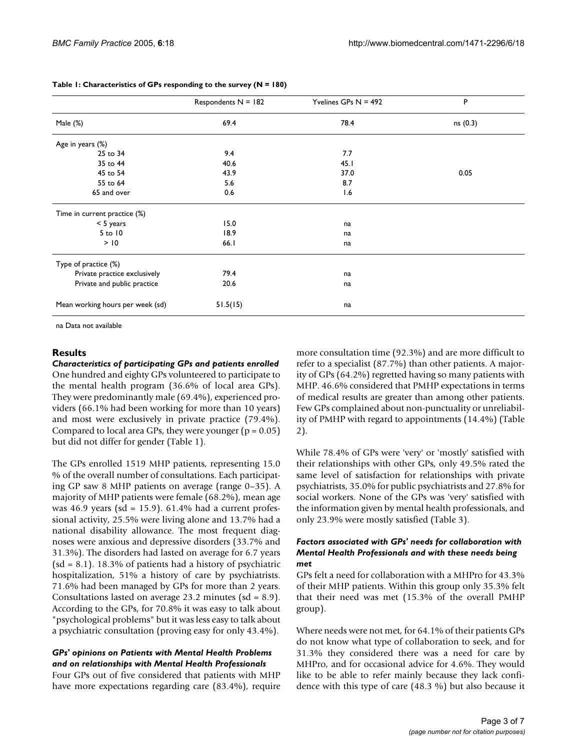|                                  | Respondents $N = 182$ | Yvelines GPs $N = 492$ | P        |  |
|----------------------------------|-----------------------|------------------------|----------|--|
| Male (%)                         | 69.4                  | 78.4                   | ns (0.3) |  |
| Age in years (%)                 |                       |                        |          |  |
| 25 to 34                         | 9.4                   | 7.7                    |          |  |
| 35 to 44                         | 40.6                  | 45.1                   |          |  |
| 45 to 54                         | 43.9                  | 37.0                   | 0.05     |  |
| 55 to 64                         | 5.6                   | 8.7                    |          |  |
| 65 and over                      | 0.6                   | 1.6                    |          |  |
| Time in current practice (%)     |                       |                        |          |  |
| $< 5$ years                      | 15.0                  | na                     |          |  |
| $5$ to $10$                      | 18.9                  | na                     |          |  |
| > 10                             | 66.1                  | na                     |          |  |
| Type of practice (%)             |                       |                        |          |  |
| Private practice exclusively     | 79.4                  | na                     |          |  |
| Private and public practice      | 20.6                  | na                     |          |  |
| Mean working hours per week (sd) | 51.5(15)              | na                     |          |  |

#### <span id="page-2-0"></span>**Table 1: Characteristics of GPs responding to the survey (N = 180)**

na Data not available

#### **Results**

*Characteristics of participating GPs and patients enrolled* One hundred and eighty GPs volunteered to participate to the mental health program (36.6% of local area GPs). They were predominantly male (69.4%), experienced providers (66.1% had been working for more than 10 years) and most were exclusively in private practice (79.4%). Compared to local area GPs, they were younger ( $p = 0.05$ ) but did not differ for gender (Table [1\)](#page-2-0).

The GPs enrolled 1519 MHP patients, representing 15.0 % of the overall number of consultations. Each participating GP saw 8 MHP patients on average (range 0–35). A majority of MHP patients were female (68.2%), mean age was 46.9 years (sd =  $15.9$ ). 61.4% had a current professional activity, 25.5% were living alone and 13.7% had a national disability allowance. The most frequent diagnoses were anxious and depressive disorders (33.7% and 31.3%). The disorders had lasted on average for 6.7 years  $sd = 8.1$ ). 18.3% of patients had a history of psychiatric hospitalization, 51% a history of care by psychiatrists. 71.6% had been managed by GPs for more than 2 years. Consultations lasted on average 23.2 minutes (sd = 8.9). According to the GPs, for 70.8% it was easy to talk about "psychological problems" but it was less easy to talk about a psychiatric consultation (proving easy for only 43.4%).

#### *GPs' opinions on Patients with Mental Health Problems and on relationships with Mental Health Professionals*

Four GPs out of five considered that patients with MHP have more expectations regarding care (83.4%), require more consultation time (92.3%) and are more difficult to refer to a specialist (87.7%) than other patients. A majority of GPs (64.2%) regretted having so many patients with MHP. 46.6% considered that PMHP expectations in terms of medical results are greater than among other patients. Few GPs complained about non-punctuality or unreliability of PMHP with regard to appointments (14.4%) (Table  $2)$  $2)$ 

While 78.4% of GPs were 'very' or 'mostly' satisfied with their relationships with other GPs, only 49.5% rated the same level of satisfaction for relationships with private psychiatrists, 35.0% for public psychiatrists and 27.8% for social workers. None of the GPs was 'very' satisfied with the information given by mental health professionals, and only 23.9% were mostly satisfied (Table [3](#page-3-1)).

#### *Factors associated with GPs' needs for collaboration with Mental Health Professionals and with these needs being met*

GPs felt a need for collaboration with a MHPro for 43.3% of their MHP patients. Within this group only 35.3% felt that their need was met (15.3% of the overall PMHP group).

Where needs were not met, for 64.1% of their patients GPs do not know what type of collaboration to seek, and for 31.3% they considered there was a need for care by MHPro, and for occasional advice for 4.6%. They would like to be able to refer mainly because they lack confidence with this type of care (48.3 %) but also because it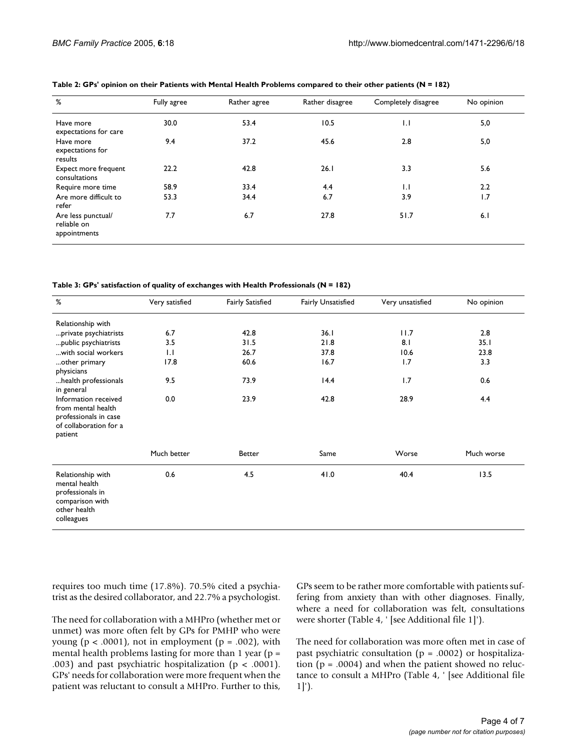| %                                                 | Fully agree | Rather agree | Rather disagree | Completely disagree | No opinion |
|---------------------------------------------------|-------------|--------------|-----------------|---------------------|------------|
| Have more<br>expectations for care                | 30.0        | 53.4         | 10.5            | $\overline{1}$ .    | 5,0        |
| Have more<br>expectations for<br>results          | 9.4         | 37.2         | 45.6            | 2.8                 | 5,0        |
| Expect more frequent<br>consultations             | 22.2        | 42.8         | 26.1            | 3.3                 | 5.6        |
| Require more time                                 | 58.9        | 33.4         | 4.4             | $\mathsf{L}$        | 2.2        |
| Are more difficult to<br>refer                    | 53.3        | 34.4         | 6.7             | 3.9                 | 1.7        |
| Are less punctual/<br>reliable on<br>appointments | 7.7         | 6.7          | 27.8            | 51.7                | 6.1        |

<span id="page-3-0"></span>**Table 2: GPs' opinion on their Patients with Mental Health Problems compared to their other patients (N = 182)**

<span id="page-3-1"></span>**Table 3: GPs' satisfaction of quality of exchanges with Health Professionals (N = 182)**

| %                                                                                                        | Very satisfied   | <b>Fairly Satisfied</b> | <b>Fairly Unsatisfied</b> | Very unsatisfied | No opinion |
|----------------------------------------------------------------------------------------------------------|------------------|-------------------------|---------------------------|------------------|------------|
| Relationship with                                                                                        |                  |                         |                           |                  |            |
| private psychiatrists                                                                                    | 6.7              | 42.8                    | 36.1                      | 11.7             | 2.8        |
| public psychiatrists                                                                                     | 3.5              | 31.5                    | 21.8                      | 8.1              | 35.1       |
| with social workers                                                                                      | $\overline{1}$ . | 26.7                    | 37.8                      | 10.6             | 23.8       |
| other primary<br>physicians                                                                              | 17.8             | 60.6                    | 16.7                      | 1.7              | 3.3        |
| health professionals<br>in general                                                                       | 9.5              | 73.9                    | 14.4                      | 1.7              | 0.6        |
| Information received<br>from mental health<br>professionals in case<br>of collaboration for a<br>patient | 0.0              | 23.9                    | 42.8                      | 28.9             | 4.4        |
|                                                                                                          | Much better      | <b>Better</b>           | Same                      | Worse            | Much worse |
| Relationship with<br>mental health<br>professionals in<br>comparison with<br>other health<br>colleagues  | 0.6              | 4.5                     | 41.0                      | 40.4             | 13.5       |

requires too much time (17.8%). 70.5% cited a psychiatrist as the desired collaborator, and 22.7% a psychologist.

The need for collaboration with a MHPro (whether met or unmet) was more often felt by GPs for PMHP who were young ( $p < .0001$ ), not in employment ( $p = .002$ ), with mental health problems lasting for more than 1 year ( $p =$ .003) and past psychiatric hospitalization ( $p < .0001$ ). GPs' needs for collaboration were more frequent when the patient was reluctant to consult a MHPro. Further to this,

GPs seem to be rather more comfortable with patients suffering from anxiety than with other diagnoses. Finally, where a need for collaboration was felt, consultations were shorter (Table 4, ' [see Additional file 1]').

The need for collaboration was more often met in case of past psychiatric consultation ( $p = .0002$ ) or hospitalization ( $p = .0004$ ) and when the patient showed no reluctance to consult a MHPro (Table 4, ' [see Additional file 1]').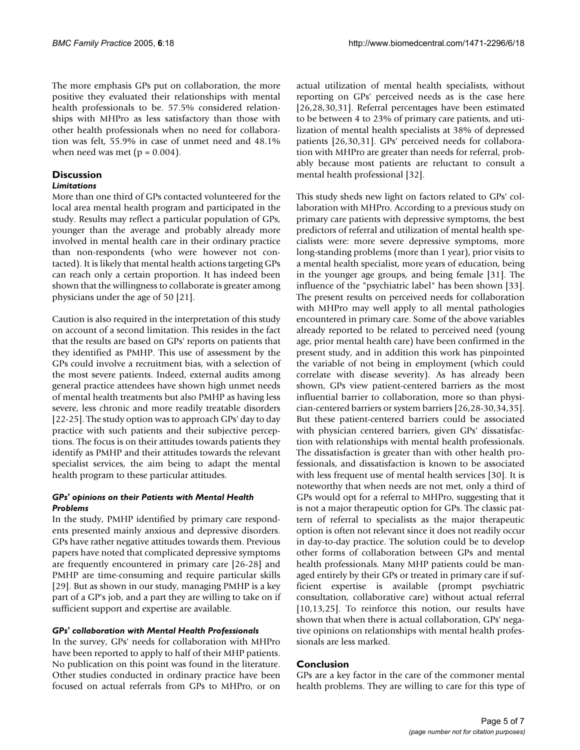The more emphasis GPs put on collaboration, the more positive they evaluated their relationships with mental health professionals to be. 57.5% considered relationships with MHPro as less satisfactory than those with other health professionals when no need for collaboration was felt, 55.9% in case of unmet need and 48.1% when need was met ( $p = 0.004$ ).

#### **Discussion**

#### *Limitations*

More than one third of GPs contacted volunteered for the local area mental health program and participated in the study. Results may reflect a particular population of GPs, younger than the average and probably already more involved in mental health care in their ordinary practice than non-respondents (who were however not contacted). It is likely that mental health actions targeting GPs can reach only a certain proportion. It has indeed been shown that the willingness to collaborate is greater among physicians under the age of 50 [21].

Caution is also required in the interpretation of this study on account of a second limitation. This resides in the fact that the results are based on GPs' reports on patients that they identified as PMHP. This use of assessment by the GPs could involve a recruitment bias, with a selection of the most severe patients. Indeed, external audits among general practice attendees have shown high unmet needs of mental health treatments but also PMHP as having less severe, less chronic and more readily treatable disorders [22-25]. The study option was to approach GPs' day to day practice with such patients and their subjective perceptions. The focus is on their attitudes towards patients they identify as PMHP and their attitudes towards the relevant specialist services, the aim being to adapt the mental health program to these particular attitudes.

#### *GPs' opinions on their Patients with Mental Health Problems*

In the study, PMHP identified by primary care respondents presented mainly anxious and depressive disorders. GPs have rather negative attitudes towards them. Previous papers have noted that complicated depressive symptoms are frequently encountered in primary care [26-28] and PMHP are time-consuming and require particular skills [29]. But as shown in our study, managing PMHP is a key part of a GP's job, and a part they are willing to take on if sufficient support and expertise are available.

#### *GPs' collaboration with Mental Health Professionals*

In the survey, GPs' needs for collaboration with MHPro have been reported to apply to half of their MHP patients. No publication on this point was found in the literature. Other studies conducted in ordinary practice have been focused on actual referrals from GPs to MHPro, or on

actual utilization of mental health specialists, without reporting on GPs' perceived needs as is the case here [26,28,30,31]. Referral percentages have been estimated to be between 4 to 23% of primary care patients, and utilization of mental health specialists at 38% of depressed patients [26,30,31]. GPs' perceived needs for collaboration with MHPro are greater than needs for referral, probably because most patients are reluctant to consult a mental health professional [32].

This study sheds new light on factors related to GPs' collaboration with MHPro. According to a previous study on primary care patients with depressive symptoms, the best predictors of referral and utilization of mental health specialists were: more severe depressive symptoms, more long-standing problems (more than 1 year), prior visits to a mental health specialist, more years of education, being in the younger age groups, and being female [31]. The influence of the "psychiatric label" has been shown [33]. The present results on perceived needs for collaboration with MHPro may well apply to all mental pathologies encountered in primary care. Some of the above variables already reported to be related to perceived need (young age, prior mental health care) have been confirmed in the present study, and in addition this work has pinpointed the variable of not being in employment (which could correlate with disease severity). As has already been shown, GPs view patient-centered barriers as the most influential barrier to collaboration, more so than physician-centered barriers or system barriers [26,28-30,34,35]. But these patient-centered barriers could be associated with physician centered barriers, given GPs' dissatisfaction with relationships with mental health professionals. The dissatisfaction is greater than with other health professionals, and dissatisfaction is known to be associated with less frequent use of mental health services [30]. It is noteworthy that when needs are not met, only a third of GPs would opt for a referral to MHPro, suggesting that it is not a major therapeutic option for GPs. The classic pattern of referral to specialists as the major therapeutic option is often not relevant since it does not readily occur in day-to-day practice. The solution could be to develop other forms of collaboration between GPs and mental health professionals. Many MHP patients could be managed entirely by their GPs or treated in primary care if sufficient expertise is available (prompt psychiatric consultation, collaborative care) without actual referral [10,13,25]. To reinforce this notion, our results have shown that when there is actual collaboration, GPs' negative opinions on relationships with mental health professionals are less marked.

#### **Conclusion**

GPs are a key factor in the care of the commoner mental health problems. They are willing to care for this type of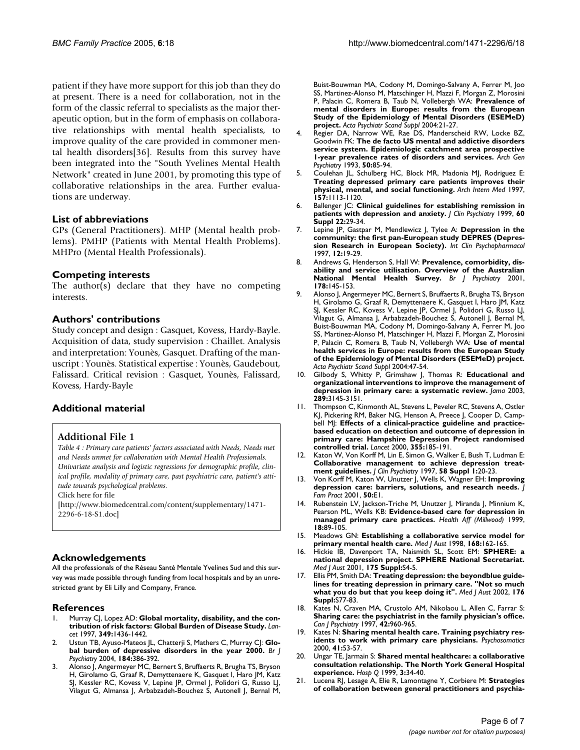patient if they have more support for this job than they do at present. There is a need for collaboration, not in the form of the classic referral to specialists as the major therapeutic option, but in the form of emphasis on collaborative relationships with mental health specialists, to improve quality of the care provided in commoner mental health disorders[36]. Results from this survey have been integrated into the "South Yvelines Mental Health Network" created in June 2001, by promoting this type of collaborative relationships in the area. Further evaluations are underway.

#### **List of abbreviations**

GPs (General Practitioners). MHP (Mental health problems). PMHP (Patients with Mental Health Problems). MHPro (Mental Health Professionals).

#### **Competing interests**

The author(s) declare that they have no competing interests.

#### **Authors' contributions**

Study concept and design : Gasquet, Kovess, Hardy-Bayle. Acquisition of data, study supervision : Chaillet. Analysis and interpretation: Younès, Gasquet. Drafting of the manuscript : Younès. Statistical expertise : Younès, Gaudebout, Falissard. Critical revision : Gasquet, Younès, Falissard, Kovess, Hardy-Bayle

#### **Additional material**

#### **Additional File 1**

*Table 4 : Primary care patients' factors associated with Needs, Needs met and Needs unmet for collaboration with Mental Health Professionals. Univariate analysis and logistic regressions for demographic profile, clinical profile, modality of primary care, past psychiatric care, patient's attitude towards psychological problems.*

Click here for file

[\[http://www.biomedcentral.com/content/supplementary/1471-](http://www.biomedcentral.com/content/supplementary/1471-2296-6-18-S1.doc) 2296-6-18-S1.doc]

#### **Acknowledgements**

All the professionals of the Réseau Santé Mentale Yvelines Sud and this survey was made possible through funding from local hospitals and by an unrestricted grant by Eli Lilly and Company, France.

#### **References**

- Murray CJ, Lopez AD: [Global mortality, disability, and the con](http://www.ncbi.nlm.nih.gov/entrez/query.fcgi?cmd=Retrieve&db=PubMed&dopt=Abstract&list_uids=9164317)**[tribution of risk factors: Global Burden of Disease Study.](http://www.ncbi.nlm.nih.gov/entrez/query.fcgi?cmd=Retrieve&db=PubMed&dopt=Abstract&list_uids=9164317)** *Lancet* 1997, **349:**1436-1442.
- Ustun TB, Ayuso-Mateos *JL*, Chatterji S, Mathers C, Murray C|: [Glo](http://www.ncbi.nlm.nih.gov/entrez/query.fcgi?cmd=Retrieve&db=PubMed&dopt=Abstract&list_uids=15123501)**[bal burden of depressive disorders in the year 2000.](http://www.ncbi.nlm.nih.gov/entrez/query.fcgi?cmd=Retrieve&db=PubMed&dopt=Abstract&list_uids=15123501)** *Br J Psychiatry* 2004, **184:**386-392.
- 3. Alonso J, Angermeyer MC, Bernert S, Bruffaerts R, Brugha TS, Bryson H, Girolamo G, Graaf R, Demyttenaere K, Gasquet I, Haro JM, Katz SJ, Kessler RC, Kovess V, Lepine JP, Ormel J, Polidori G, Russo LJ, Vilagut G, Almansa J, Arbabzadeh-Bouchez S, Autonell J, Bernal M,

Buist-Bouwman MA, Codony M, Domingo-Salvany A, Ferrer M, Joo SS, Martinez-Alonso M, Matschinger H, Mazzi F, Morgan Z, Morosini P, Palacin C, Romera B, Taub N, Vollebergh WA: **[Prevalence of](http://www.ncbi.nlm.nih.gov/entrez/query.fcgi?cmd=Retrieve&db=PubMed&dopt=Abstract&list_uids=15128384) [mental disorders in Europe: results from the European](http://www.ncbi.nlm.nih.gov/entrez/query.fcgi?cmd=Retrieve&db=PubMed&dopt=Abstract&list_uids=15128384) Study of the Epidemiology of Mental Disorders (ESEMeD) [project.](http://www.ncbi.nlm.nih.gov/entrez/query.fcgi?cmd=Retrieve&db=PubMed&dopt=Abstract&list_uids=15128384)** *Acta Psychiatr Scand Suppl* 2004:21-27.

- 4. Regier DA, Narrow WE, Rae DS, Manderscheid RW, Locke BZ, Goodwin FK: **[The de facto US mental and addictive disorders](http://www.ncbi.nlm.nih.gov/entrez/query.fcgi?cmd=Retrieve&db=PubMed&dopt=Abstract&list_uids=8427558) [service system. Epidemiologic catchment area prospective](http://www.ncbi.nlm.nih.gov/entrez/query.fcgi?cmd=Retrieve&db=PubMed&dopt=Abstract&list_uids=8427558) [1-year prevalence rates of disorders and services.](http://www.ncbi.nlm.nih.gov/entrez/query.fcgi?cmd=Retrieve&db=PubMed&dopt=Abstract&list_uids=8427558)** *Arch Gen Psychiatry* 1993, **50:**85-94.
- 5. Coulehan JL, Schulberg HC, Block MR, Madonia MJ, Rodriguez E: **[Treating depressed primary care patients improves their](http://www.ncbi.nlm.nih.gov/entrez/query.fcgi?cmd=Retrieve&db=PubMed&dopt=Abstract&list_uids=9164377) [physical, mental, and social functioning.](http://www.ncbi.nlm.nih.gov/entrez/query.fcgi?cmd=Retrieve&db=PubMed&dopt=Abstract&list_uids=9164377)** *Arch Intern Med* 1997, **157:**1113-1120.
- 6. Ballenger JC: **[Clinical guidelines for establishing remission in](http://www.ncbi.nlm.nih.gov/entrez/query.fcgi?cmd=Retrieve&db=PubMed&dopt=Abstract&list_uids=10634353) [patients with depression and anxiety.](http://www.ncbi.nlm.nih.gov/entrez/query.fcgi?cmd=Retrieve&db=PubMed&dopt=Abstract&list_uids=10634353)** *J Clin Psychiatry* 1999, **60 Suppl 22:**29-34.
- 7. Lepine JP, Gastpar M, Mendlewicz J, Tylee A: **[Depression in the](http://www.ncbi.nlm.nih.gov/entrez/query.fcgi?cmd=Retrieve&db=PubMed&dopt=Abstract&list_uids=9179630) [community: the first pan-European study DEPRES \(Depres](http://www.ncbi.nlm.nih.gov/entrez/query.fcgi?cmd=Retrieve&db=PubMed&dopt=Abstract&list_uids=9179630)[sion Research in European Society\).](http://www.ncbi.nlm.nih.gov/entrez/query.fcgi?cmd=Retrieve&db=PubMed&dopt=Abstract&list_uids=9179630)** *Int Clin Psychopharmacol* 1997, **12:**19-29.
- 8. Andrews G, Henderson S, Hall W: **[Prevalence, comorbidity, dis](http://www.ncbi.nlm.nih.gov/entrez/query.fcgi?cmd=Retrieve&db=PubMed&dopt=Abstract&list_uids=11157427)[ability and service utilisation. Overview of the Australian](http://www.ncbi.nlm.nih.gov/entrez/query.fcgi?cmd=Retrieve&db=PubMed&dopt=Abstract&list_uids=11157427) [National Mental Health Survey.](http://www.ncbi.nlm.nih.gov/entrez/query.fcgi?cmd=Retrieve&db=PubMed&dopt=Abstract&list_uids=11157427)** *Br J Psychiatry* 2001, **178:**145-153.
- 9. Alonso J, Angermeyer MC, Bernert S, Bruffaerts R, Brugha TS, Bryson H, Girolamo G, Graaf R, Demyttenaere K, Gasquet I, Haro JM, Katz SJ, Kessler RC, Kovess V, Lepine JP, Ormel J, Polidori G, Russo LJ, Vilagut G, Almansa J, Arbabzadeh-Bouchez S, Autonell J, Bernal M, Buist-Bouwman MA, Codony M, Domingo-Salvany A, Ferrer M, Joo SS, Martinez-Alonso M, Matschinger H, Mazzi F, Morgan Z, Morosini P, Palacin C, Romera B, Taub N, Vollebergh WA: **[Use of mental](http://www.ncbi.nlm.nih.gov/entrez/query.fcgi?cmd=Retrieve&db=PubMed&dopt=Abstract&list_uids=15128387) [health services in Europe: results from the European Study](http://www.ncbi.nlm.nih.gov/entrez/query.fcgi?cmd=Retrieve&db=PubMed&dopt=Abstract&list_uids=15128387) of the Epidemiology of Mental Disorders (ESEMeD) project.** *Acta Psychiatr Scand Suppl* 2004:47-54.
- 10. Gilbody S, Whitty P, Grimshaw J, Thomas R: **[Educational and](http://www.ncbi.nlm.nih.gov/entrez/query.fcgi?cmd=Retrieve&db=PubMed&dopt=Abstract&list_uids=12813120) [organizational interventions to improve the management of](http://www.ncbi.nlm.nih.gov/entrez/query.fcgi?cmd=Retrieve&db=PubMed&dopt=Abstract&list_uids=12813120) [depression in primary care: a systematic review.](http://www.ncbi.nlm.nih.gov/entrez/query.fcgi?cmd=Retrieve&db=PubMed&dopt=Abstract&list_uids=12813120)** *Jama* 2003, **289:**3145-3151.
- 11. Thompson C, Kinmonth AL, Stevens L, Peveler RC, Stevens A, Ostler KJ, Pickering RM, Baker NG, Henson A, Preece J, Cooper D, Campbell MJ: **[Effects of a clinical-practice guideline and practice](http://www.ncbi.nlm.nih.gov/entrez/query.fcgi?cmd=Retrieve&db=PubMed&dopt=Abstract&list_uids=10675118)[based education on detection and outcome of depression in](http://www.ncbi.nlm.nih.gov/entrez/query.fcgi?cmd=Retrieve&db=PubMed&dopt=Abstract&list_uids=10675118) primary care: Hampshire Depression Project randomised [controlled trial.](http://www.ncbi.nlm.nih.gov/entrez/query.fcgi?cmd=Retrieve&db=PubMed&dopt=Abstract&list_uids=10675118)** *Lancet* 2000, **355:**185-191.
- 12. Katon W, Von Korff M, Lin E, Simon G, Walker E, Bush T, Ludman E: **[Collaborative management to achieve depression treat](http://www.ncbi.nlm.nih.gov/entrez/query.fcgi?cmd=Retrieve&db=PubMed&dopt=Abstract&list_uids=9054905)[ment guidelines.](http://www.ncbi.nlm.nih.gov/entrez/query.fcgi?cmd=Retrieve&db=PubMed&dopt=Abstract&list_uids=9054905)** *J Clin Psychiatry* 1997, **58 Suppl 1:**20-23.
- 13. Von Korff M, Katon W, Unutzer J, Wells K, Wagner EH: **[Improving](http://www.ncbi.nlm.nih.gov/entrez/query.fcgi?cmd=Retrieve&db=PubMed&dopt=Abstract&list_uids=11401751) [depression care: barriers, solutions, and research needs.](http://www.ncbi.nlm.nih.gov/entrez/query.fcgi?cmd=Retrieve&db=PubMed&dopt=Abstract&list_uids=11401751)** *J Fam Pract* 2001, **50:**E1.
- 14. Rubenstein LV, Jackson-Triche M, Unutzer J, Miranda J, Minnium K, Pearson ML, Wells KB: **[Evidence-based care for depression in](http://www.ncbi.nlm.nih.gov/entrez/query.fcgi?cmd=Retrieve&db=PubMed&dopt=Abstract&list_uids=10495595) [managed primary care practices.](http://www.ncbi.nlm.nih.gov/entrez/query.fcgi?cmd=Retrieve&db=PubMed&dopt=Abstract&list_uids=10495595)** *Health Aff (Millwood)* 1999, **18:**89-105.
- 15. Meadows GN: **[Establishing a collaborative service model for](http://www.ncbi.nlm.nih.gov/entrez/query.fcgi?cmd=Retrieve&db=PubMed&dopt=Abstract&list_uids=9507711) [primary mental health care.](http://www.ncbi.nlm.nih.gov/entrez/query.fcgi?cmd=Retrieve&db=PubMed&dopt=Abstract&list_uids=9507711)** *Med J Aust* 1998, **168:**162-165.
- 16. Hickie IB, Davenport TA, Naismith SL, Scott EM: **[SPHERE: a](http://www.ncbi.nlm.nih.gov/entrez/query.fcgi?cmd=Retrieve&db=PubMed&dopt=Abstract&list_uids=11556435) [national depression project. SPHERE National Secretariat.](http://www.ncbi.nlm.nih.gov/entrez/query.fcgi?cmd=Retrieve&db=PubMed&dopt=Abstract&list_uids=11556435)** *Med J Aust* 2001, **175 Suppl:**S4-5.
- 17. Ellis PM, Smith DA: **[Treating depression: the beyondblue guide](http://www.ncbi.nlm.nih.gov/entrez/query.fcgi?cmd=Retrieve&db=PubMed&dopt=Abstract&list_uids=12065002)[lines for treating depression in primary care. "Not so much](http://www.ncbi.nlm.nih.gov/entrez/query.fcgi?cmd=Retrieve&db=PubMed&dopt=Abstract&list_uids=12065002) [what you do but that you keep doing it".](http://www.ncbi.nlm.nih.gov/entrez/query.fcgi?cmd=Retrieve&db=PubMed&dopt=Abstract&list_uids=12065002)** *Med J Aust* 2002, **176 Suppl:**S77-83.
- 18. Kates N, Craven MA, Crustolo AM, Nikolaou L, Allen C, Farrar S: **[Sharing care: the psychiatrist in the family physician's office.](http://www.ncbi.nlm.nih.gov/entrez/query.fcgi?cmd=Retrieve&db=PubMed&dopt=Abstract&list_uids=9429067)** *Can J Psychiatry* 1997, **42:**960-965.
- 19. Kates N: **[Sharing mental health care. Training psychiatry res](http://www.ncbi.nlm.nih.gov/entrez/query.fcgi?cmd=Retrieve&db=PubMed&dopt=Abstract&list_uids=10665268)[idents to work with primary care physicians.](http://www.ncbi.nlm.nih.gov/entrez/query.fcgi?cmd=Retrieve&db=PubMed&dopt=Abstract&list_uids=10665268)** *Psychosomatics* 2000, **41:**53-57.
- 20. Ungar TE, Jarmain S: **[Shared mental healthcare: a collaborative](http://www.ncbi.nlm.nih.gov/entrez/query.fcgi?cmd=Retrieve&db=PubMed&dopt=Abstract&list_uids=11494604) [consultation relationship. The North York General Hospital](http://www.ncbi.nlm.nih.gov/entrez/query.fcgi?cmd=Retrieve&db=PubMed&dopt=Abstract&list_uids=11494604) [experience.](http://www.ncbi.nlm.nih.gov/entrez/query.fcgi?cmd=Retrieve&db=PubMed&dopt=Abstract&list_uids=11494604)** *Hosp Q* 1999, **3:**34-40.
- 21. Lucena RJ, Lesage A, Elie R, Lamontagne Y, Corbiere M: **[Strategies](http://www.ncbi.nlm.nih.gov/entrez/query.fcgi?cmd=Retrieve&db=PubMed&dopt=Abstract&list_uids=12420653) [of collaboration between general practitioners and psychia](http://www.ncbi.nlm.nih.gov/entrez/query.fcgi?cmd=Retrieve&db=PubMed&dopt=Abstract&list_uids=12420653)-**